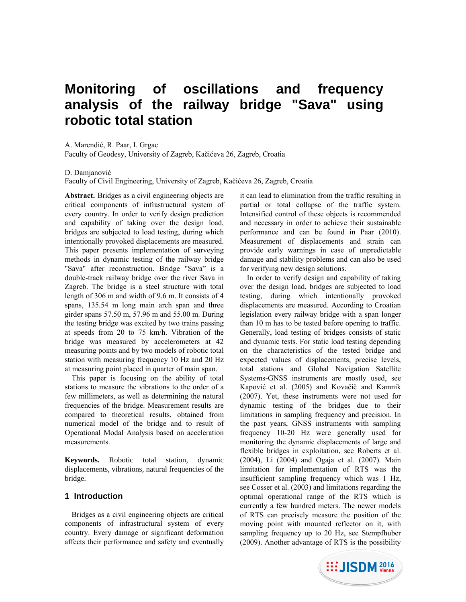# **Monitoring of oscillations and frequency analysis of the railway bridge "Sava" using robotic total station**

A. Marendić, R. Paar, I. Grgac

Faculty of Geodesy, University of Zagreb, Kačićeva 26, Zagreb, Croatia

D. Damjanović

Faculty of Civil Engineering, University of Zagreb, Kačićeva 26, Zagreb, Croatia

**Abstract.** Bridges as a civil engineering objects are critical components of infrastructural system of every country. In order to verify design prediction and capability of taking over the design load, bridges are subjected to load testing, during which intentionally provoked displacements are measured. This paper presents implementation of surveying methods in dynamic testing of the railway bridge "Sava" after reconstruction. Bridge "Sava" is a double-track railway bridge over the river Sava in Zagreb. The bridge is a steel structure with total length of 306 m and width of 9.6 m. It consists of 4 spans, 135.54 m long main arch span and three girder spans 57.50 m, 57.96 m and 55.00 m. During the testing bridge was excited by two trains passing at speeds from 20 to 75 km/h. Vibration of the bridge was measured by accelerometers at 42 measuring points and by two models of robotic total station with measuring frequency 10 Hz and 20 Hz at measuring point placed in quarter of main span.

This paper is focusing on the ability of total stations to measure the vibrations to the order of a few millimeters, as well as determining the natural frequencies of the bridge. Measurement results are compared to theoretical results, obtained from numerical model of the bridge and to result of Operational Modal Analysis based on acceleration measurements.

**Keywords.** Robotic total station, dynamic displacements, vibrations, natural frequencies of the bridge.

#### **1 Introduction**

Bridges as a civil engineering objects are critical components of infrastructural system of every country. Every damage or significant deformation affects their performance and safety and eventually

it can lead to elimination from the traffic resulting in partial or total collapse of the traffic system. Intensified control of these objects is recommended and necessary in order to achieve their sustainable performance and can be found in Paar (2010). Measurement of displacements and strain can provide early warnings in case of unpredictable damage and stability problems and can also be used for verifying new design solutions.

In order to verify design and capability of taking over the design load, bridges are subjected to load testing, during which intentionally provoked displacements are measured. According to Croatian legislation every railway bridge with a span longer than 10 m has to be tested before opening to traffic. Generally, load testing of bridges consists of static and dynamic tests. For static load testing depending on the characteristics of the tested bridge and expected values of displacements, precise levels, total stations and Global Navigation Satellite Systems-GNSS instruments are mostly used, see Kapović et al. (2005) and Kovačič and Kamnik (2007). Yet, these instruments were not used for dynamic testing of the bridges due to their limitations in sampling frequency and precision. In the past years, GNSS instruments with sampling frequency 10-20 Hz were generally used for monitoring the dynamic displacements of large and flexible bridges in exploitation, see Roberts et al. (2004), Li (2004) and Ogaja et al. (2007). Main limitation for implementation of RTS was the insufficient sampling frequency which was 1 Hz, see Cosser et al. (2003) and limitations regarding the optimal operational range of the RTS which is currently a few hundred meters. The newer models of RTS can precisely measure the position of the moving point with mounted reflector on it, with sampling frequency up to 20 Hz, see Stempfhuber (2009). Another advantage of RTS is the possibility

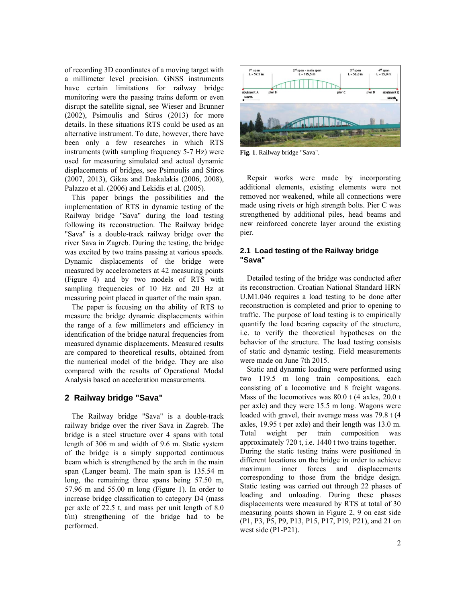of recording 3D coordinates of a moving target with a millimeter level precision. GNSS instruments have certain limitations for railway bridge monitoring were the passing trains deform or even disrupt the satellite signal, see Wieser and Brunner (2002), Psimoulis and Stiros (2013) for more details. In these situations RTS could be used as an alternative instrument. To date, however, there have been only a few researches in which RTS instruments (with sampling frequency 5-7 Hz) were used for measuring simulated and actual dynamic displacements of bridges, see Psimoulis and Stiros (2007, 2013), Gikas and Daskalakis (2006, 2008), Palazzo et al. (2006) and Lekidis et al. (2005).

This paper brings the possibilities and the implementation of RTS in dynamic testing of the Railway bridge "Sava" during the load testing following its reconstruction. The Railway bridge "Sava" is a double-track railway bridge over the river Sava in Zagreb. During the testing, the bridge was excited by two trains passing at various speeds. Dynamic displacements of the bridge were measured by accelerometers at 42 measuring points (Figure 4) and by two models of RTS with sampling frequencies of 10 Hz and 20 Hz at measuring point placed in quarter of the main span.

The paper is focusing on the ability of RTS to measure the bridge dynamic displacements within the range of a few millimeters and efficiency in identification of the bridge natural frequencies from measured dynamic displacements. Measured results are compared to theoretical results, obtained from the numerical model of the bridge. They are also compared with the results of Operational Modal Analysis based on acceleration measurements.

# **2 Railway bridge "Sava"**

The Railway bridge "Sava" is a double-track railway bridge over the river Sava in Zagreb. The bridge is a steel structure over 4 spans with total length of 306 m and width of 9.6 m. Static system of the bridge is a simply supported continuous beam which is strengthened by the arch in the main span (Langer beam). The main span is 135.54 m long, the remaining three spans being 57.50 m, 57.96 m and 55.00 m long (Figure 1). In order to increase bridge classification to category D4 (mass per axle of 22.5 t, and mass per unit length of 8.0 t/m) strengthening of the bridge had to be performed.



**Fig. 1**. Railway bridge "Sava".

Repair works were made by incorporating additional elements, existing elements were not removed nor weakened, while all connections were made using rivets or high strength bolts. Pier C was strengthened by additional piles, head beams and new reinforced concrete layer around the existing pier.

#### **2.1 Load testing of the Railway bridge "Sava"**

Detailed testing of the bridge was conducted after its reconstruction. Croatian National Standard HRN U.M1.046 requires a load testing to be done after reconstruction is completed and prior to opening to traffic. The purpose of load testing is to empirically quantify the load bearing capacity of the structure, i.e. to verify the theoretical hypotheses on the behavior of the structure. The load testing consists of static and dynamic testing. Field measurements were made on June 7th 2015.

Static and dynamic loading were performed using two 119.5 m long train compositions, each consisting of a locomotive and 8 freight wagons. Mass of the locomotives was 80.0 t (4 axles, 20.0 t per axle) and they were 15.5 m long. Wagons were loaded with gravel, their average mass was 79.8 t (4 axles, 19.95 t per axle) and their length was 13.0 m. Total weight per train composition was approximately 720 t, i.e. 1440 t two trains together. During the static testing trains were positioned in different locations on the bridge in order to achieve maximum inner forces and displacements corresponding to those from the bridge design. Static testing was carried out through 22 phases of loading and unloading. During these phases displacements were measured by RTS at total of 30 measuring points shown in Figure 2, 9 on east side (P1, P3, P5, P9, P13, P15, P17, P19, P21), and 21 on west side (P1-P21).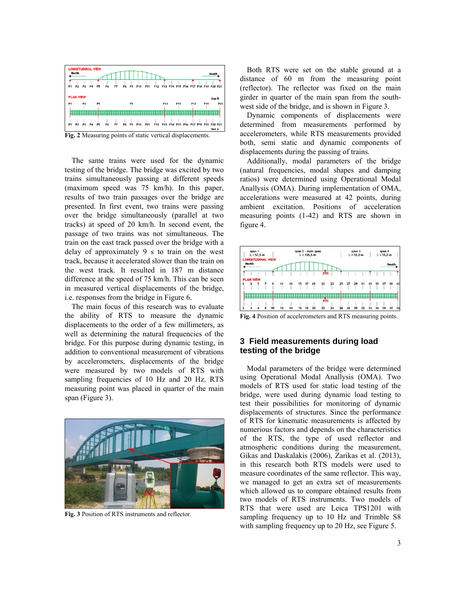

**Fig. 2** Measuring points of static vertical displacements.

The same trains were used for the dynamic testing of the bridge. The bridge was excited by two trains simultaneously passing at different speeds (maximum speed was 75 km/h). In this paper, results of two train passages over the bridge are presented. In first event, two trains were passing over the bridge simultaneously (parallel at two tracks) at speed of 20 km/h. In second event, the passage of two trains was not simultaneous. The train on the east track passed over the bridge with a delay of approximately 9 s to train on the west track, because it accelerated slower than the train on the west track. It resulted in 187 m distance difference at the speed of 75 km/h. This can be seen in measured vertical displacements of the bridge, i.e. responses from the bridge in Figure 6.

The main focus of this research was to evaluate the ability of RTS to measure the dynamic displacements to the order of a few millimeters, as well as determining the natural frequencies of the bridge. For this purpose during dynamic testing, in addition to conventional measurement of vibrations by accelerometers, displacements of the bridge were measured by two models of RTS with sampling frequencies of 10 Hz and 20 Hz. RTS measuring point was placed in quarter of the main span (Figure 3).



**Fig. 3** Position of RTS instruments and reflector.

Both RTS were set on the stable ground at a distance of 60 m from the measuring point (reflector). The reflector was fixed on the main girder in quarter of the main span from the southwest side of the bridge, and is shown in Figure 3.

Dynamic components of displacements were determined from measurements performed by accelerometers, while RTS measurements provided both, semi static and dynamic components of displacements during the passing of trains.

Additionally, modal parameters of the bridge (natural frequencies, modal shapes and damping ratios) were determined using Operational Modal Anallysis (OMA). During implementation of OMA, accelerations were measured at 42 points, during ambient excitation. Positions of acceleration measuring points (1-42) and RTS are shown in figure 4.



**Fig. 4** Position of accelerometers and RTS measuring points.

#### **3 Field measurements during load testing of the bridge**

Modal parameters of the bridge were determined using Operational Modal Anallysis (OMA). Two models of RTS used for static load testing of the bridge, were used during dynamic load testing to test their possibilities for monitoring of dynamic displacements of structures. Since the performance of RTS for kinematic measurements is affected by numerious factors and depends on the characteristics of the RTS, the type of used reflector and atmospheric conditions during the measurement, Gikas and Daskalakis (2006), Zarikas et al. (2013), in this research both RTS models were used to measure coordinates of the same reflector. This way, we managed to get an extra set of measurements which allowed us to compare obtained results from two models of RTS instruments. Two models of RTS that were used are Leica TPS1201 with sampling frequency up to 10 Hz and Trimble S8 with sampling frequency up to 20 Hz, see Figure 5.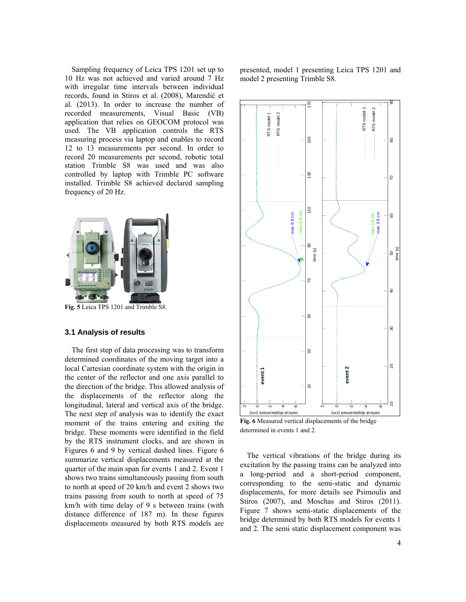Sampling frequency of Leica TPS 1201 set up to 10 Hz was not achieved and varied around 7 Hz with irregular time intervals between individual records, found in Stiros et al. (2008), Marendić et al. (2013). In order to increase the number of recorded measurements, Visual Basic (VB) application that relies on GEOCOM protocol was used. The VB application controls the RTS measuring process via laptop and enables to record 12 to 13 measurements per second. In order to record 20 measurements per second, robotic total station Trimble S8 was used and was also controlled by laptop with Trimble PC software installed. Trimble S8 achieved declared sampling frequency of 20 Hz.



**Fig. 5** Leica TPS 1201 and Trimble S8.

#### **3.1 Analysis of results**

The first step of data processing was to transform determined coordinates of the moving target into a local Cartesian coordinate system with the origin in the center of the reflector and one axis parallel to the direction of the bridge. This allowed analysis of the displacements of the reflector along the longitudinal, lateral and vertical axis of the bridge. The next step of analysis was to identify the exact moment of the trains entering and exiting the bridge. These moments were identified in the field by the RTS instrument clocks, and are shown in Figures 6 and 9 by vertical dashed lines. Figure 6 summarize vertical displacements measured at the quarter of the main span for events 1 and 2. Event 1 shows two trains simultaneously passing from south to north at speed of 20 km/h and event 2 shows two trains passing from south to north at speed of 75 km/h with time delay of 9 s between trains (with distance difference of 187 m). In these figures displacements measured by both RTS models are

presented, model 1 presenting Leica TPS 1201 and model 2 presenting Trimble S8.



**Fig. 6** Measured vertical displacements of the bridge determined in events 1 and 2.

The vertical vibrations of the bridge during its excitation by the passing trains can be analyzed into a long-period and a short-period component, corresponding to the semi-static and dynamic displacements, for more details see Psimoulis and Stiros (2007), and Moschas and Stiros (2011). Figure 7 shows semi-static displacements of the bridge determined by both RTS models for events 1 and 2. The semi static displacement component was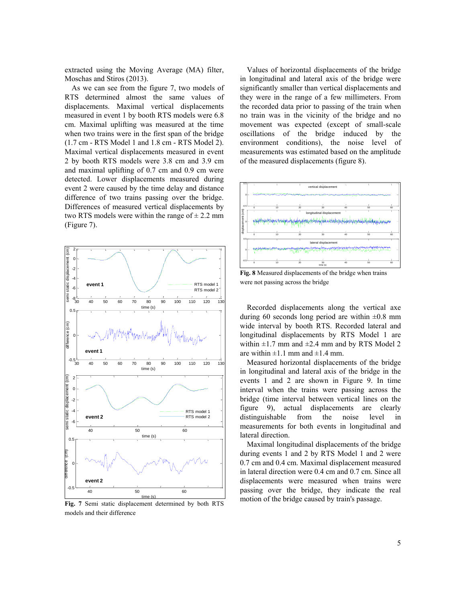extracted using the Moving Average (MA) filter, Moschas and Stiros (2013).

As we can see from the figure 7, two models of RTS determined almost the same values of displacements. Maximal vertical displacements measured in event 1 by booth RTS models were 6.8 cm. Maximal uplifting was measured at the time when two trains were in the first span of the bridge (1.7 cm - RTS Model 1 and 1.8 cm - RTS Model 2). Maximal vertical displacements measured in event 2 by booth RTS models were 3.8 cm and 3.9 cm and maximal uplifting of 0.7 cm and 0.9 cm were detected. Lower displacements measured during event 2 were caused by the time delay and distance difference of two trains passing over the bridge. Differences of measured vertical displacements by two RTS models were within the range of  $\pm$  2.2 mm (Figure 7).



**Fig. 7** Semi static displacement determined by both RTS models and their difference

Values of horizontal displacements of the bridge in longitudinal and lateral axis of the bridge were significantly smaller than vertical displacements and they were in the range of a few millimeters. From the recorded data prior to passing of the train when no train was in the vicinity of the bridge and no movement was expected (except of small-scale oscillations of the bridge induced by the environment conditions), the noise level of measurements was estimated based on the amplitude of the measured displacements (figure 8).



Fig. 8 Measured displacements of the bridge when trains

Recorded displacements along the vertical axe longitudinal displacements by RTS Model 1 are vi<br>01<br>vi are within  $\pm 1.1$  mm and  $\pm 1.4$  mm. during 60 seconds long period are within  $\pm 0.8$  mm wide interval by booth RTS. Recorded lateral and within  $\pm 1.7$  mm and  $\pm 2.4$  mm and by RTS Model 2

Measured horizontal displacements of the bridge in longitudinal and lateral axis of the bridge in the events 1 and 2 are shown in Figure 9. In time interval when the trains were passing across the bridge (time interval between vertical lines on the figure 9), actual displacements are clearly distinguishable from the noise level in measurements for both events in longitudinal and lateral direction.

Maximal longitudinal displacements of the bridge during events 1 and 2 by RTS Model 1 and 2 were 0.7 cm and 0.4 cm. Maximal displacement measured in lateral direction were 0.4 cm and 0.7 cm. Since all displacements were measured when trains were passing over the bridge, they indicate the real motion of the bridge caused by train's passage.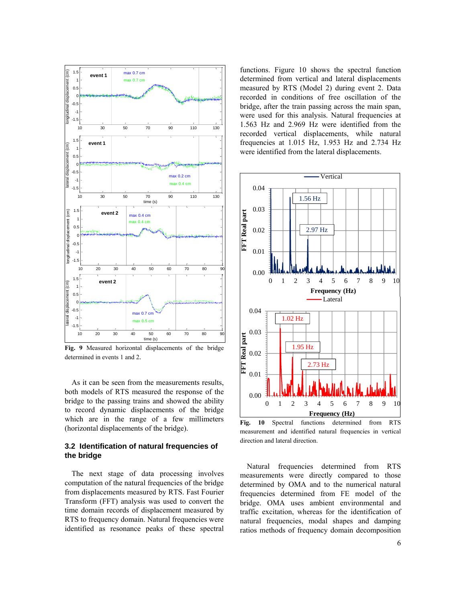

**Fig. 9** Measured horizontal displacements of the bridge determined in events 1 and 2.

As it can be seen from the measurements results, both models of RTS measured the response of the bridge to the passing trains and showed the ability to record dynamic displacements of the bridge which are in the range of a few millimeters (horizontal displacements of the bridge).

# **3.2 Identification of natural frequencies of the bridge**

The next stage of data processing involves computation of the natural frequencies of the bridge from displacements measured by RTS. Fast Fourier Transform (FFT) analysis was used to convert the time domain records of displacement measured by RTS to frequency domain. Natural frequencies were identified as resonance peaks of these spectral

recorded vertical displacements, while natural -1.5 1.563 Hz and 2.969 Hz were identified from the were used for this analysis. Natural frequencies at bridge, after the train passing across the main span, recorded in conditions of free oscillation of the 0.5 measured by RTS (Model 2) during event 2. Data ermined from functions. Figure 10 shows the spectral function ludi<br>m<br>rebi<br>w were identified from the lateral displacements. 1.5 **event 2** frequencies at 1.015 Hz, 1.953 Hz and 2.734 Hz determined from vertical and lateral displacements



**Fig. 10** Spectral functions determined from RTS measurement and identified natural frequencies in vertical direction and lateral direction.

Natural frequencies determined from RTS measurements were directly compared to those determined by OMA and to the numerical natural frequencies determined from FE model of the bridge. OMA uses ambient environmental and traffic excitation, whereas for the identification of natural frequencies, modal shapes and damping ratios methods of frequency domain decomposition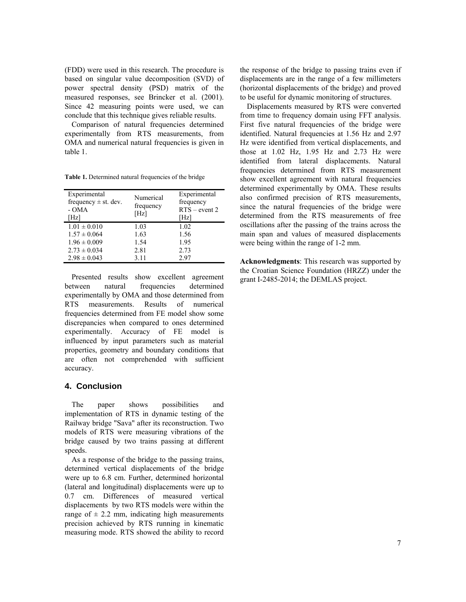(FDD) were used in this research. The procedure is based on singular value decomposition (SVD) of power spectral density (PSD) matrix of the measured responses, see Brincker et al. (2001). Since 42 measuring points were used, we can conclude that this technique gives reliable results.

Comparison of natural frequencies determined experimentally from RTS measurements, from OMA and numerical natural frequencies is given in table 1.

| Table 1. Determined natural frequencies of the bridge |  |
|-------------------------------------------------------|--|
|-------------------------------------------------------|--|

| Experimental<br>frequency $\pm$ st. dev.<br>- OMA<br>[Hz] | Numerical<br>frequency<br>[Hz] | Experimental<br>frequency<br>$RTS$ – event 2<br>[Hz] |
|-----------------------------------------------------------|--------------------------------|------------------------------------------------------|
| $1.01 \pm 0.010$                                          | 1.03                           | 1.02                                                 |
| $1.57 \pm 0.064$                                          | 1.63                           | 1.56                                                 |
| $1.96 \pm 0.009$                                          | 1.54                           | 1.95                                                 |
| $2.73 \pm 0.034$                                          | 2.81                           | 2.73                                                 |
| $2.98 \pm 0.043$                                          | 3.11                           | 2.97                                                 |

Presented results show excellent agreement between natural frequencies determined experimentally by OMA and those determined from RTS measurements. Results of numerical frequencies determined from FE model show some discrepancies when compared to ones determined experimentally. Accuracy of FE model is influenced by input parameters such as material properties, geometry and boundary conditions that are often not comprehended with sufficient accuracy.

# **4. Conclusion**

The paper shows possibilities and implementation of RTS in dynamic testing of the Railway bridge "Sava" after its reconstruction. Two models of RTS were measuring vibrations of the bridge caused by two trains passing at different speeds.

As a response of the bridge to the passing trains, determined vertical displacements of the bridge were up to 6.8 cm. Further, determined horizontal (lateral and longitudinal) displacements were up to 0.7 cm. Differences of measured vertical displacements by two RTS models were within the range of  $\pm$  2.2 mm, indicating high measurements precision achieved by RTS running in kinematic measuring mode. RTS showed the ability to record

the response of the bridge to passing trains even if displacements are in the range of a few millimeters (horizontal displacements of the bridge) and proved to be useful for dynamic monitoring of structures.

Displacements measured by RTS were converted from time to frequency domain using FFT analysis. First five natural frequencies of the bridge were identified. Natural frequencies at 1.56 Hz and 2.97 Hz were identified from vertical displacements, and those at 1.02 Hz, 1.95 Hz and 2.73 Hz were identified from lateral displacements. Natural frequencies determined from RTS measurement show excellent agreement with natural frequencies determined experimentally by OMA. These results also confirmed precision of RTS measurements, since the natural frequencies of the bridge were determined from the RTS measurements of free oscillations after the passing of the trains across the main span and values of measured displacements were being within the range of 1-2 mm.

**Acknowledgments**: This research was supported by the Croatian Science Foundation (HRZZ) under the grant I-2485-2014; the DEMLAS project.